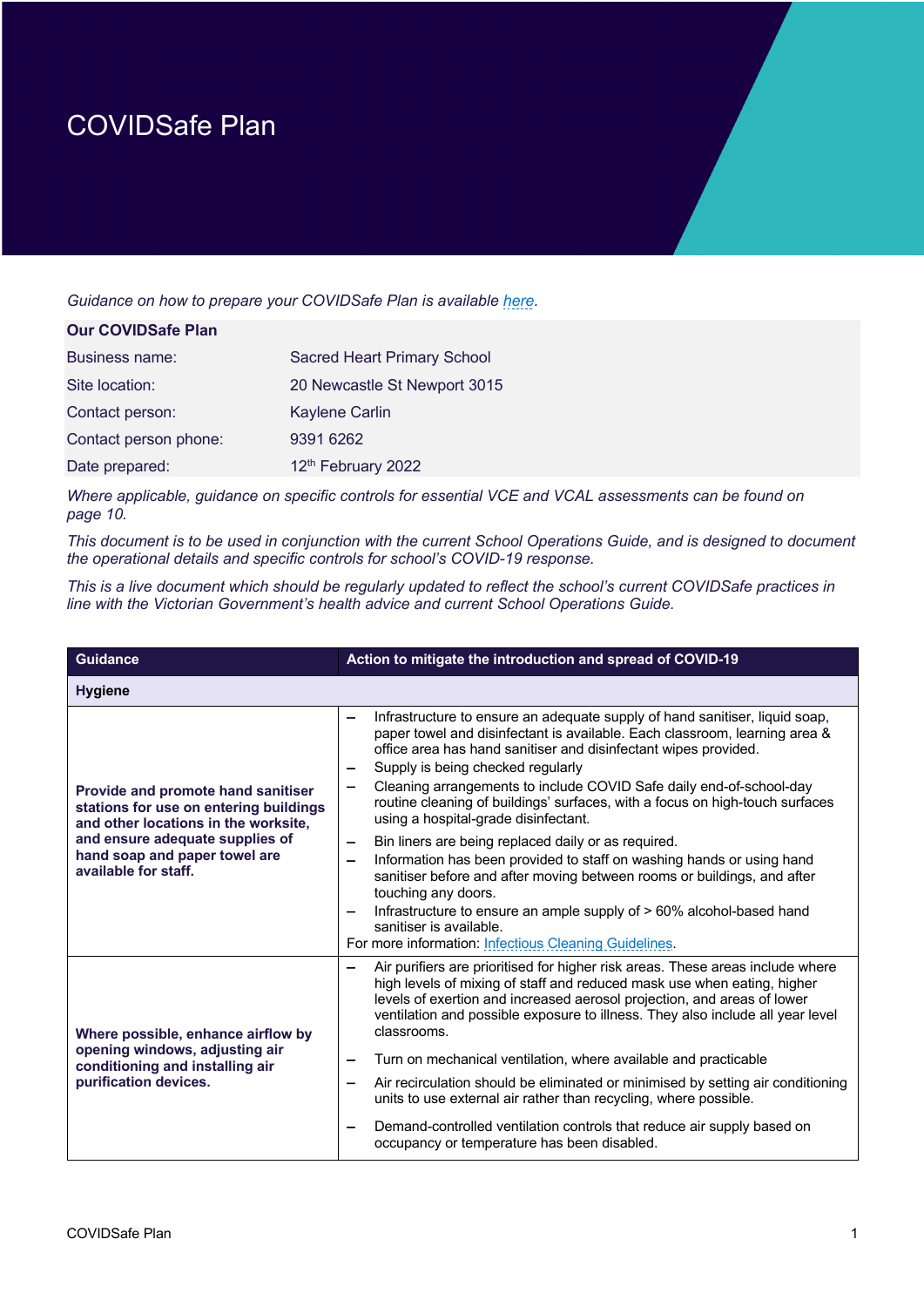## COVIDSafe Plan

*Guidance on how to prepare your COVIDSafe Plan is available here.*

| <b>Our COVIDSafe Plan</b> |                                    |
|---------------------------|------------------------------------|
| Business name:            | <b>Sacred Heart Primary School</b> |
| Site location:            | 20 Newcastle St Newport 3015       |
| Contact person:           | Kaylene Carlin                     |
| Contact person phone:     | 9391 6262                          |
| Date prepared:            | 12 <sup>th</sup> February 2022     |

*Where applicable, guidance on specific controls for essential VCE and VCAL assessments can be found on page 10.*

*This document is to be used in conjunction with the current School Operations Guide, and is designed to document the operational details and specific controls for school's COVID-19 response.* 

*This is a live document which should be regularly updated to reflect the school's current COVIDSafe practices in line with the Victorian Government's health advice and current School Operations Guide.* 

| <b>Guidance</b>                                                                                                                                                                                                         | Action to mitigate the introduction and spread of COVID-19                                                                                                                                                                                                                                                                                                                                                                                                                                                                                                                                                                                                                                                                                                                                                                                                                                                                                                   |
|-------------------------------------------------------------------------------------------------------------------------------------------------------------------------------------------------------------------------|--------------------------------------------------------------------------------------------------------------------------------------------------------------------------------------------------------------------------------------------------------------------------------------------------------------------------------------------------------------------------------------------------------------------------------------------------------------------------------------------------------------------------------------------------------------------------------------------------------------------------------------------------------------------------------------------------------------------------------------------------------------------------------------------------------------------------------------------------------------------------------------------------------------------------------------------------------------|
| <b>Hygiene</b>                                                                                                                                                                                                          |                                                                                                                                                                                                                                                                                                                                                                                                                                                                                                                                                                                                                                                                                                                                                                                                                                                                                                                                                              |
| <b>Provide and promote hand sanitiser</b><br>stations for use on entering buildings<br>and other locations in the worksite,<br>and ensure adequate supplies of<br>hand soap and paper towel are<br>available for staff. | Infrastructure to ensure an adequate supply of hand sanitiser, liquid soap,<br>$\overline{\phantom{0}}$<br>paper towel and disinfectant is available. Each classroom, learning area &<br>office area has hand sanitiser and disinfectant wipes provided.<br>Supply is being checked regularly<br>Cleaning arrangements to include COVID Safe daily end-of-school-day<br>—<br>routine cleaning of buildings' surfaces, with a focus on high-touch surfaces<br>using a hospital-grade disinfectant.<br>Bin liners are being replaced daily or as required.<br>$\overline{\phantom{m}}$<br>Information has been provided to staff on washing hands or using hand<br>-<br>sanitiser before and after moving between rooms or buildings, and after<br>touching any doors.<br>Infrastructure to ensure an ample supply of > 60% alcohol-based hand<br>$\overline{\phantom{m}}$<br>sanitiser is available.<br>For more information: Infectious Cleaning Guidelines. |
| Where possible, enhance airflow by<br>opening windows, adjusting air<br>conditioning and installing air<br>purification devices.                                                                                        | Air purifiers are prioritised for higher risk areas. These areas include where<br>—<br>high levels of mixing of staff and reduced mask use when eating, higher<br>levels of exertion and increased aerosol projection, and areas of lower<br>ventilation and possible exposure to illness. They also include all year level<br>classrooms.<br>Turn on mechanical ventilation, where available and practicable<br>Air recirculation should be eliminated or minimised by setting air conditioning<br>-<br>units to use external air rather than recycling, where possible.<br>Demand-controlled ventilation controls that reduce air supply based on<br>—<br>occupancy or temperature has been disabled.                                                                                                                                                                                                                                                      |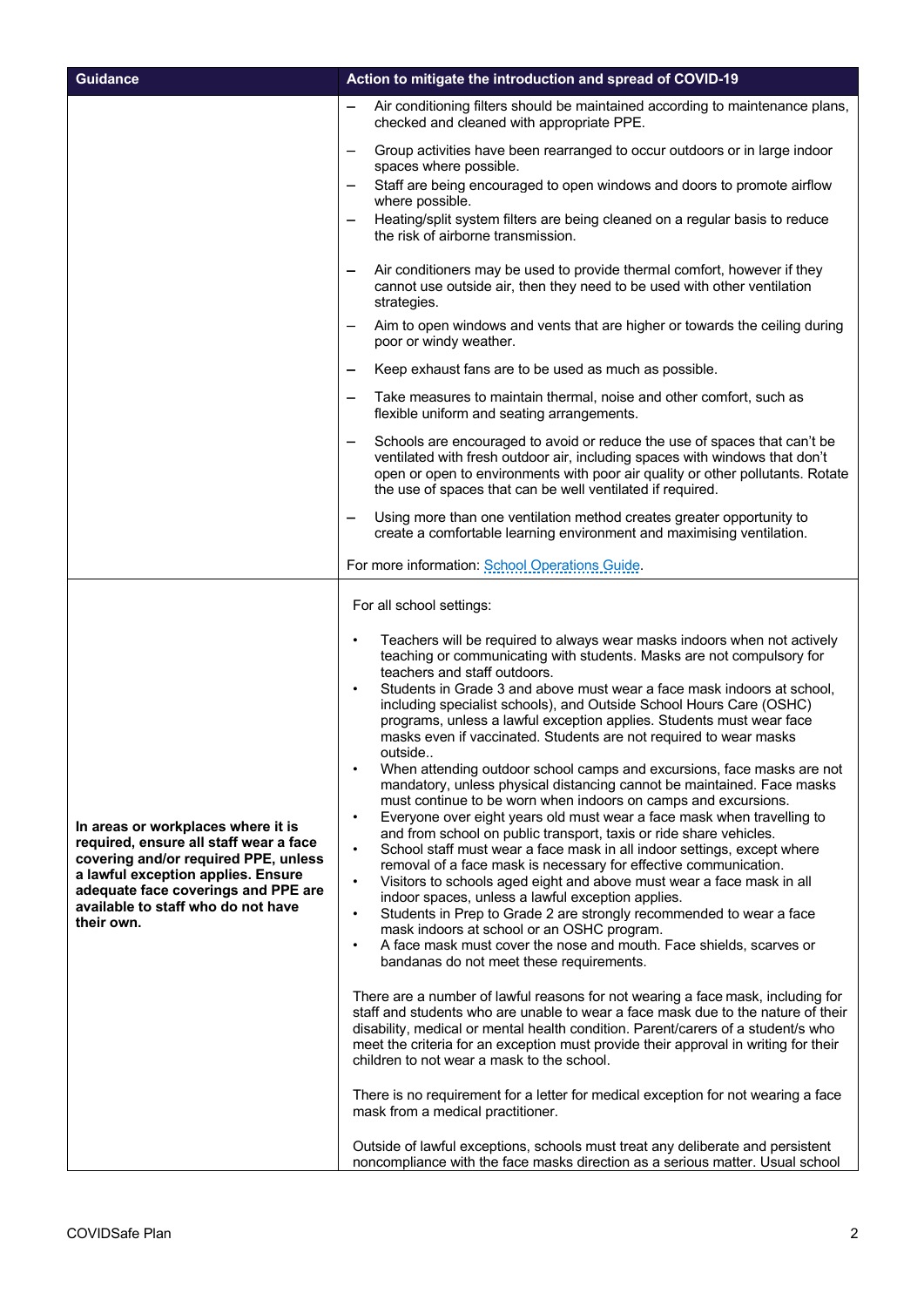| <b>Guidance</b>                                                                                                                                                                                                                                       | Action to mitigate the introduction and spread of COVID-19                                                                                                                                                                                                                                                                                                                                                                                                                                                                                                                                                                                                                                                                                                                                                                                                                                                                                                                                                                                                                                                                                                                                                                                                                                                                                                                                                                                                                                                                                                                                                                                                                                                                                                                                                                                                                                                   |
|-------------------------------------------------------------------------------------------------------------------------------------------------------------------------------------------------------------------------------------------------------|--------------------------------------------------------------------------------------------------------------------------------------------------------------------------------------------------------------------------------------------------------------------------------------------------------------------------------------------------------------------------------------------------------------------------------------------------------------------------------------------------------------------------------------------------------------------------------------------------------------------------------------------------------------------------------------------------------------------------------------------------------------------------------------------------------------------------------------------------------------------------------------------------------------------------------------------------------------------------------------------------------------------------------------------------------------------------------------------------------------------------------------------------------------------------------------------------------------------------------------------------------------------------------------------------------------------------------------------------------------------------------------------------------------------------------------------------------------------------------------------------------------------------------------------------------------------------------------------------------------------------------------------------------------------------------------------------------------------------------------------------------------------------------------------------------------------------------------------------------------------------------------------------------------|
|                                                                                                                                                                                                                                                       | Air conditioning filters should be maintained according to maintenance plans,<br>checked and cleaned with appropriate PPE.                                                                                                                                                                                                                                                                                                                                                                                                                                                                                                                                                                                                                                                                                                                                                                                                                                                                                                                                                                                                                                                                                                                                                                                                                                                                                                                                                                                                                                                                                                                                                                                                                                                                                                                                                                                   |
|                                                                                                                                                                                                                                                       | Group activities have been rearranged to occur outdoors or in large indoor<br>spaces where possible.                                                                                                                                                                                                                                                                                                                                                                                                                                                                                                                                                                                                                                                                                                                                                                                                                                                                                                                                                                                                                                                                                                                                                                                                                                                                                                                                                                                                                                                                                                                                                                                                                                                                                                                                                                                                         |
|                                                                                                                                                                                                                                                       | Staff are being encouraged to open windows and doors to promote airflow<br>where possible.                                                                                                                                                                                                                                                                                                                                                                                                                                                                                                                                                                                                                                                                                                                                                                                                                                                                                                                                                                                                                                                                                                                                                                                                                                                                                                                                                                                                                                                                                                                                                                                                                                                                                                                                                                                                                   |
|                                                                                                                                                                                                                                                       | Heating/split system filters are being cleaned on a regular basis to reduce<br>the risk of airborne transmission.                                                                                                                                                                                                                                                                                                                                                                                                                                                                                                                                                                                                                                                                                                                                                                                                                                                                                                                                                                                                                                                                                                                                                                                                                                                                                                                                                                                                                                                                                                                                                                                                                                                                                                                                                                                            |
|                                                                                                                                                                                                                                                       | Air conditioners may be used to provide thermal comfort, however if they<br>cannot use outside air, then they need to be used with other ventilation<br>strategies.                                                                                                                                                                                                                                                                                                                                                                                                                                                                                                                                                                                                                                                                                                                                                                                                                                                                                                                                                                                                                                                                                                                                                                                                                                                                                                                                                                                                                                                                                                                                                                                                                                                                                                                                          |
|                                                                                                                                                                                                                                                       | Aim to open windows and vents that are higher or towards the ceiling during<br>poor or windy weather.                                                                                                                                                                                                                                                                                                                                                                                                                                                                                                                                                                                                                                                                                                                                                                                                                                                                                                                                                                                                                                                                                                                                                                                                                                                                                                                                                                                                                                                                                                                                                                                                                                                                                                                                                                                                        |
|                                                                                                                                                                                                                                                       | Keep exhaust fans are to be used as much as possible.                                                                                                                                                                                                                                                                                                                                                                                                                                                                                                                                                                                                                                                                                                                                                                                                                                                                                                                                                                                                                                                                                                                                                                                                                                                                                                                                                                                                                                                                                                                                                                                                                                                                                                                                                                                                                                                        |
|                                                                                                                                                                                                                                                       | Take measures to maintain thermal, noise and other comfort, such as<br>flexible uniform and seating arrangements.                                                                                                                                                                                                                                                                                                                                                                                                                                                                                                                                                                                                                                                                                                                                                                                                                                                                                                                                                                                                                                                                                                                                                                                                                                                                                                                                                                                                                                                                                                                                                                                                                                                                                                                                                                                            |
|                                                                                                                                                                                                                                                       | Schools are encouraged to avoid or reduce the use of spaces that can't be<br>ventilated with fresh outdoor air, including spaces with windows that don't<br>open or open to environments with poor air quality or other pollutants. Rotate<br>the use of spaces that can be well ventilated if required.                                                                                                                                                                                                                                                                                                                                                                                                                                                                                                                                                                                                                                                                                                                                                                                                                                                                                                                                                                                                                                                                                                                                                                                                                                                                                                                                                                                                                                                                                                                                                                                                     |
|                                                                                                                                                                                                                                                       | Using more than one ventilation method creates greater opportunity to<br>create a comfortable learning environment and maximising ventilation.                                                                                                                                                                                                                                                                                                                                                                                                                                                                                                                                                                                                                                                                                                                                                                                                                                                                                                                                                                                                                                                                                                                                                                                                                                                                                                                                                                                                                                                                                                                                                                                                                                                                                                                                                               |
|                                                                                                                                                                                                                                                       | For more information: School Operations Guide.                                                                                                                                                                                                                                                                                                                                                                                                                                                                                                                                                                                                                                                                                                                                                                                                                                                                                                                                                                                                                                                                                                                                                                                                                                                                                                                                                                                                                                                                                                                                                                                                                                                                                                                                                                                                                                                               |
| In areas or workplaces where it is<br>required, ensure all staff wear a face<br>covering and/or required PPE, unless<br>a lawful exception applies. Ensure<br>adequate face coverings and PPE are<br>available to staff who do not have<br>their own. | For all school settings:<br>Teachers will be required to always wear masks indoors when not actively<br>$\bullet$<br>teaching or communicating with students. Masks are not compulsory for<br>teachers and staff outdoors.<br>Students in Grade 3 and above must wear a face mask indoors at school,<br>$\bullet$<br>including specialist schools), and Outside School Hours Care (OSHC)<br>programs, unless a lawful exception applies. Students must wear face<br>masks even if vaccinated. Students are not required to wear masks<br>outside<br>When attending outdoor school camps and excursions, face masks are not<br>mandatory, unless physical distancing cannot be maintained. Face masks<br>must continue to be worn when indoors on camps and excursions.<br>Everyone over eight years old must wear a face mask when travelling to<br>$\bullet$<br>and from school on public transport, taxis or ride share vehicles.<br>School staff must wear a face mask in all indoor settings, except where<br>$\bullet$<br>removal of a face mask is necessary for effective communication.<br>Visitors to schools aged eight and above must wear a face mask in all<br>$\bullet$<br>indoor spaces, unless a lawful exception applies.<br>Students in Prep to Grade 2 are strongly recommended to wear a face<br>$\bullet$<br>mask indoors at school or an OSHC program.<br>A face mask must cover the nose and mouth. Face shields, scarves or<br>$\bullet$<br>bandanas do not meet these requirements.<br>There are a number of lawful reasons for not wearing a face mask, including for<br>staff and students who are unable to wear a face mask due to the nature of their<br>disability, medical or mental health condition. Parent/carers of a student/s who<br>meet the criteria for an exception must provide their approval in writing for their<br>children to not wear a mask to the school. |
|                                                                                                                                                                                                                                                       | There is no requirement for a letter for medical exception for not wearing a face<br>mask from a medical practitioner.                                                                                                                                                                                                                                                                                                                                                                                                                                                                                                                                                                                                                                                                                                                                                                                                                                                                                                                                                                                                                                                                                                                                                                                                                                                                                                                                                                                                                                                                                                                                                                                                                                                                                                                                                                                       |
|                                                                                                                                                                                                                                                       | Outside of lawful exceptions, schools must treat any deliberate and persistent<br>noncompliance with the face masks direction as a serious matter. Usual school                                                                                                                                                                                                                                                                                                                                                                                                                                                                                                                                                                                                                                                                                                                                                                                                                                                                                                                                                                                                                                                                                                                                                                                                                                                                                                                                                                                                                                                                                                                                                                                                                                                                                                                                              |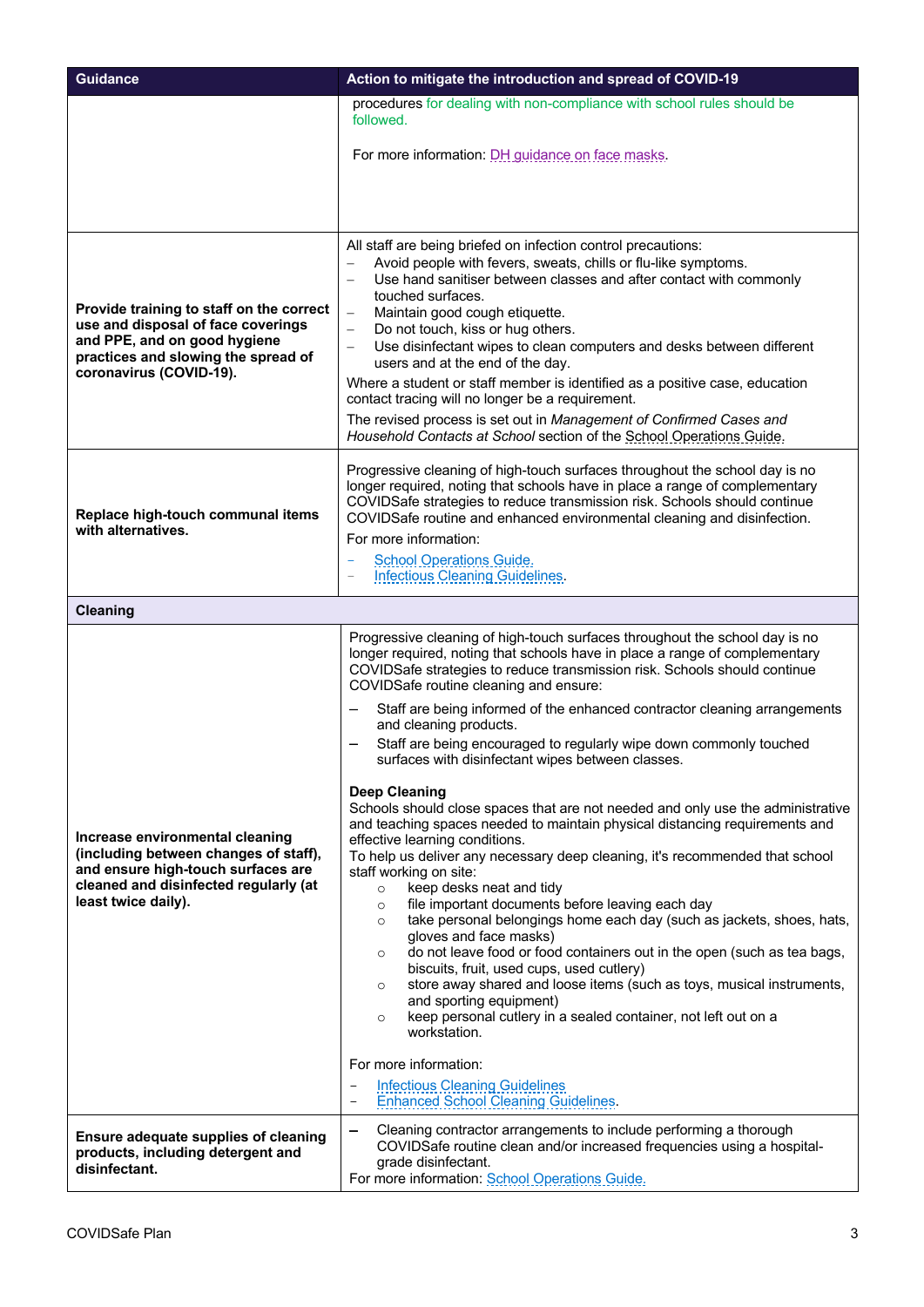| <b>Guidance</b>                                                                                                                                                                  | Action to mitigate the introduction and spread of COVID-19                                                                                                                                                                                                                                                                                                                                                                                                                                                                                                                                                                                                                                                                                                                                                                                                                                                                                                                                                                                                                                                                                                                                                                                                                                                                                                                                                                                                                                                                                                         |
|----------------------------------------------------------------------------------------------------------------------------------------------------------------------------------|--------------------------------------------------------------------------------------------------------------------------------------------------------------------------------------------------------------------------------------------------------------------------------------------------------------------------------------------------------------------------------------------------------------------------------------------------------------------------------------------------------------------------------------------------------------------------------------------------------------------------------------------------------------------------------------------------------------------------------------------------------------------------------------------------------------------------------------------------------------------------------------------------------------------------------------------------------------------------------------------------------------------------------------------------------------------------------------------------------------------------------------------------------------------------------------------------------------------------------------------------------------------------------------------------------------------------------------------------------------------------------------------------------------------------------------------------------------------------------------------------------------------------------------------------------------------|
|                                                                                                                                                                                  | procedures for dealing with non-compliance with school rules should be<br>followed.                                                                                                                                                                                                                                                                                                                                                                                                                                                                                                                                                                                                                                                                                                                                                                                                                                                                                                                                                                                                                                                                                                                                                                                                                                                                                                                                                                                                                                                                                |
|                                                                                                                                                                                  | For more information: DH guidance on face masks.                                                                                                                                                                                                                                                                                                                                                                                                                                                                                                                                                                                                                                                                                                                                                                                                                                                                                                                                                                                                                                                                                                                                                                                                                                                                                                                                                                                                                                                                                                                   |
|                                                                                                                                                                                  |                                                                                                                                                                                                                                                                                                                                                                                                                                                                                                                                                                                                                                                                                                                                                                                                                                                                                                                                                                                                                                                                                                                                                                                                                                                                                                                                                                                                                                                                                                                                                                    |
| Provide training to staff on the correct<br>use and disposal of face coverings<br>and PPE, and on good hygiene<br>practices and slowing the spread of<br>coronavirus (COVID-19). | All staff are being briefed on infection control precautions:<br>Avoid people with fevers, sweats, chills or flu-like symptoms.<br>Use hand sanitiser between classes and after contact with commonly<br>$\overline{\phantom{0}}$<br>touched surfaces.<br>Maintain good cough etiquette.<br>$\overline{\phantom{0}}$<br>Do not touch, kiss or hug others.<br>$\qquad \qquad -$<br>Use disinfectant wipes to clean computers and desks between different<br>$\qquad \qquad -$<br>users and at the end of the day.<br>Where a student or staff member is identified as a positive case, education<br>contact tracing will no longer be a requirement.<br>The revised process is set out in Management of Confirmed Cases and<br>Household Contacts at School section of the School Operations Guide.                                                                                                                                                                                                                                                                                                                                                                                                                                                                                                                                                                                                                                                                                                                                                                 |
| Replace high-touch communal items<br>with alternatives.                                                                                                                          | Progressive cleaning of high-touch surfaces throughout the school day is no<br>longer required, noting that schools have in place a range of complementary<br>COVIDSafe strategies to reduce transmission risk. Schools should continue<br>COVIDSafe routine and enhanced environmental cleaning and disinfection.<br>For more information:<br><b>School Operations Guide.</b><br><b>Infectious Cleaning Guidelines.</b>                                                                                                                                                                                                                                                                                                                                                                                                                                                                                                                                                                                                                                                                                                                                                                                                                                                                                                                                                                                                                                                                                                                                           |
| <b>Cleaning</b>                                                                                                                                                                  |                                                                                                                                                                                                                                                                                                                                                                                                                                                                                                                                                                                                                                                                                                                                                                                                                                                                                                                                                                                                                                                                                                                                                                                                                                                                                                                                                                                                                                                                                                                                                                    |
| Increase environmental cleaning<br>(including between changes of staff),<br>and ensure high-touch surfaces are<br>cleaned and disinfected regularly (at<br>least twice daily).   | Progressive cleaning of high-touch surfaces throughout the school day is no<br>longer required, noting that schools have in place a range of complementary<br>COVIDSafe strategies to reduce transmission risk. Schools should continue<br>COVIDSafe routine cleaning and ensure:<br>Staff are being informed of the enhanced contractor cleaning arrangements<br>and cleaning products.<br>Staff are being encouraged to regularly wipe down commonly touched<br>surfaces with disinfectant wipes between classes.<br><b>Deep Cleaning</b><br>Schools should close spaces that are not needed and only use the administrative<br>and teaching spaces needed to maintain physical distancing requirements and<br>effective learning conditions.<br>To help us deliver any necessary deep cleaning, it's recommended that school<br>staff working on site:<br>keep desks neat and tidy<br>$\circ$<br>file important documents before leaving each day<br>$\circ$<br>take personal belongings home each day (such as jackets, shoes, hats,<br>$\circ$<br>gloves and face masks)<br>do not leave food or food containers out in the open (such as tea bags,<br>$\circ$<br>biscuits, fruit, used cups, used cutlery)<br>store away shared and loose items (such as toys, musical instruments,<br>$\circ$<br>and sporting equipment)<br>keep personal cutlery in a sealed container, not left out on a<br>$\circ$<br>workstation.<br>For more information:<br><b>Infectious Cleaning Guidelines</b><br>$\qquad \qquad -$<br><b>Enhanced School Cleaning Guidelines.</b> |
| <b>Ensure adequate supplies of cleaning</b><br>products, including detergent and<br>disinfectant.                                                                                | Cleaning contractor arrangements to include performing a thorough<br>—<br>COVIDSafe routine clean and/or increased frequencies using a hospital-<br>grade disinfectant.<br>For more information: School Operations Guide.                                                                                                                                                                                                                                                                                                                                                                                                                                                                                                                                                                                                                                                                                                                                                                                                                                                                                                                                                                                                                                                                                                                                                                                                                                                                                                                                          |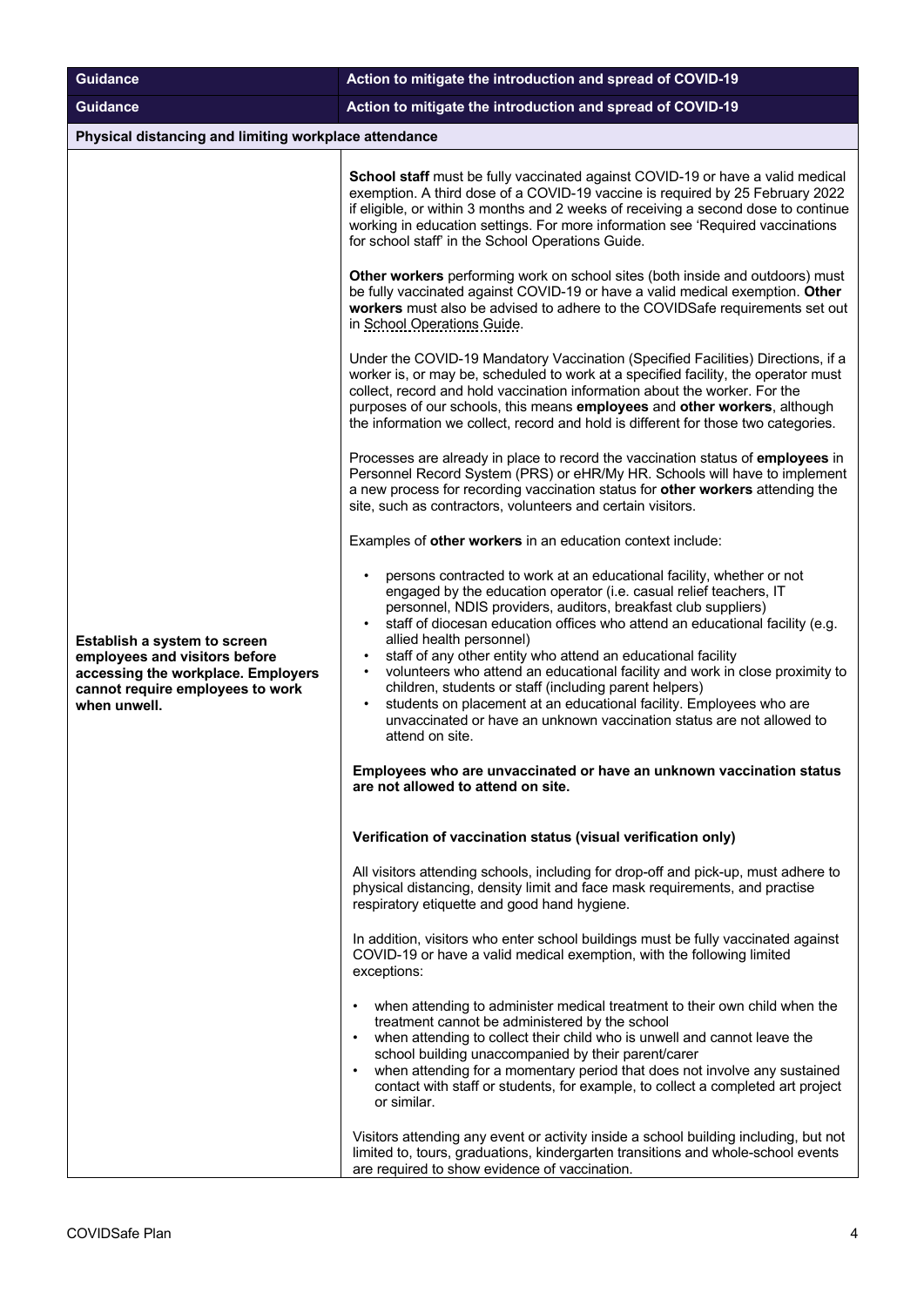| <b>Guidance</b>                                                                                                                                         | Action to mitigate the introduction and spread of COVID-19                                                                                                                                                                                                                                                                                                                                                                                                                                                                                                                                                                                                                                             |
|---------------------------------------------------------------------------------------------------------------------------------------------------------|--------------------------------------------------------------------------------------------------------------------------------------------------------------------------------------------------------------------------------------------------------------------------------------------------------------------------------------------------------------------------------------------------------------------------------------------------------------------------------------------------------------------------------------------------------------------------------------------------------------------------------------------------------------------------------------------------------|
| <b>Guidance</b>                                                                                                                                         | Action to mitigate the introduction and spread of COVID-19                                                                                                                                                                                                                                                                                                                                                                                                                                                                                                                                                                                                                                             |
| Physical distancing and limiting workplace attendance                                                                                                   |                                                                                                                                                                                                                                                                                                                                                                                                                                                                                                                                                                                                                                                                                                        |
|                                                                                                                                                         | School staff must be fully vaccinated against COVID-19 or have a valid medical<br>exemption. A third dose of a COVID-19 vaccine is required by 25 February 2022<br>if eligible, or within 3 months and 2 weeks of receiving a second dose to continue<br>working in education settings. For more information see 'Required vaccinations<br>for school staff' in the School Operations Guide.                                                                                                                                                                                                                                                                                                           |
|                                                                                                                                                         | Other workers performing work on school sites (both inside and outdoors) must<br>be fully vaccinated against COVID-19 or have a valid medical exemption. Other<br>workers must also be advised to adhere to the COVIDSafe requirements set out<br>in School Operations Guide.                                                                                                                                                                                                                                                                                                                                                                                                                          |
|                                                                                                                                                         | Under the COVID-19 Mandatory Vaccination (Specified Facilities) Directions, if a<br>worker is, or may be, scheduled to work at a specified facility, the operator must<br>collect, record and hold vaccination information about the worker. For the<br>purposes of our schools, this means employees and other workers, although<br>the information we collect, record and hold is different for those two categories.                                                                                                                                                                                                                                                                                |
|                                                                                                                                                         | Processes are already in place to record the vaccination status of employees in<br>Personnel Record System (PRS) or eHR/My HR. Schools will have to implement<br>a new process for recording vaccination status for other workers attending the<br>site, such as contractors, volunteers and certain visitors.                                                                                                                                                                                                                                                                                                                                                                                         |
|                                                                                                                                                         | Examples of other workers in an education context include:                                                                                                                                                                                                                                                                                                                                                                                                                                                                                                                                                                                                                                             |
| Establish a system to screen<br>employees and visitors before<br>accessing the workplace. Employers<br>cannot require employees to work<br>when unwell. | persons contracted to work at an educational facility, whether or not<br>engaged by the education operator (i.e. casual relief teachers, IT<br>personnel, NDIS providers, auditors, breakfast club suppliers)<br>staff of diocesan education offices who attend an educational facility (e.g.<br>allied health personnel)<br>staff of any other entity who attend an educational facility<br>volunteers who attend an educational facility and work in close proximity to<br>children, students or staff (including parent helpers)<br>students on placement at an educational facility. Employees who are<br>unvaccinated or have an unknown vaccination status are not allowed to<br>attend on site. |
|                                                                                                                                                         | Employees who are unvaccinated or have an unknown vaccination status<br>are not allowed to attend on site.                                                                                                                                                                                                                                                                                                                                                                                                                                                                                                                                                                                             |
|                                                                                                                                                         | Verification of vaccination status (visual verification only)                                                                                                                                                                                                                                                                                                                                                                                                                                                                                                                                                                                                                                          |
|                                                                                                                                                         | All visitors attending schools, including for drop-off and pick-up, must adhere to<br>physical distancing, density limit and face mask requirements, and practise<br>respiratory etiquette and good hand hygiene.                                                                                                                                                                                                                                                                                                                                                                                                                                                                                      |
|                                                                                                                                                         | In addition, visitors who enter school buildings must be fully vaccinated against<br>COVID-19 or have a valid medical exemption, with the following limited<br>exceptions:                                                                                                                                                                                                                                                                                                                                                                                                                                                                                                                             |
|                                                                                                                                                         | when attending to administer medical treatment to their own child when the<br>treatment cannot be administered by the school<br>when attending to collect their child who is unwell and cannot leave the<br>$\bullet$<br>school building unaccompanied by their parent/carer<br>when attending for a momentary period that does not involve any sustained<br>contact with staff or students, for example, to collect a completed art project<br>or similar.                                                                                                                                                                                                                                            |
|                                                                                                                                                         | Visitors attending any event or activity inside a school building including, but not<br>limited to, tours, graduations, kindergarten transitions and whole-school events<br>are required to show evidence of vaccination.                                                                                                                                                                                                                                                                                                                                                                                                                                                                              |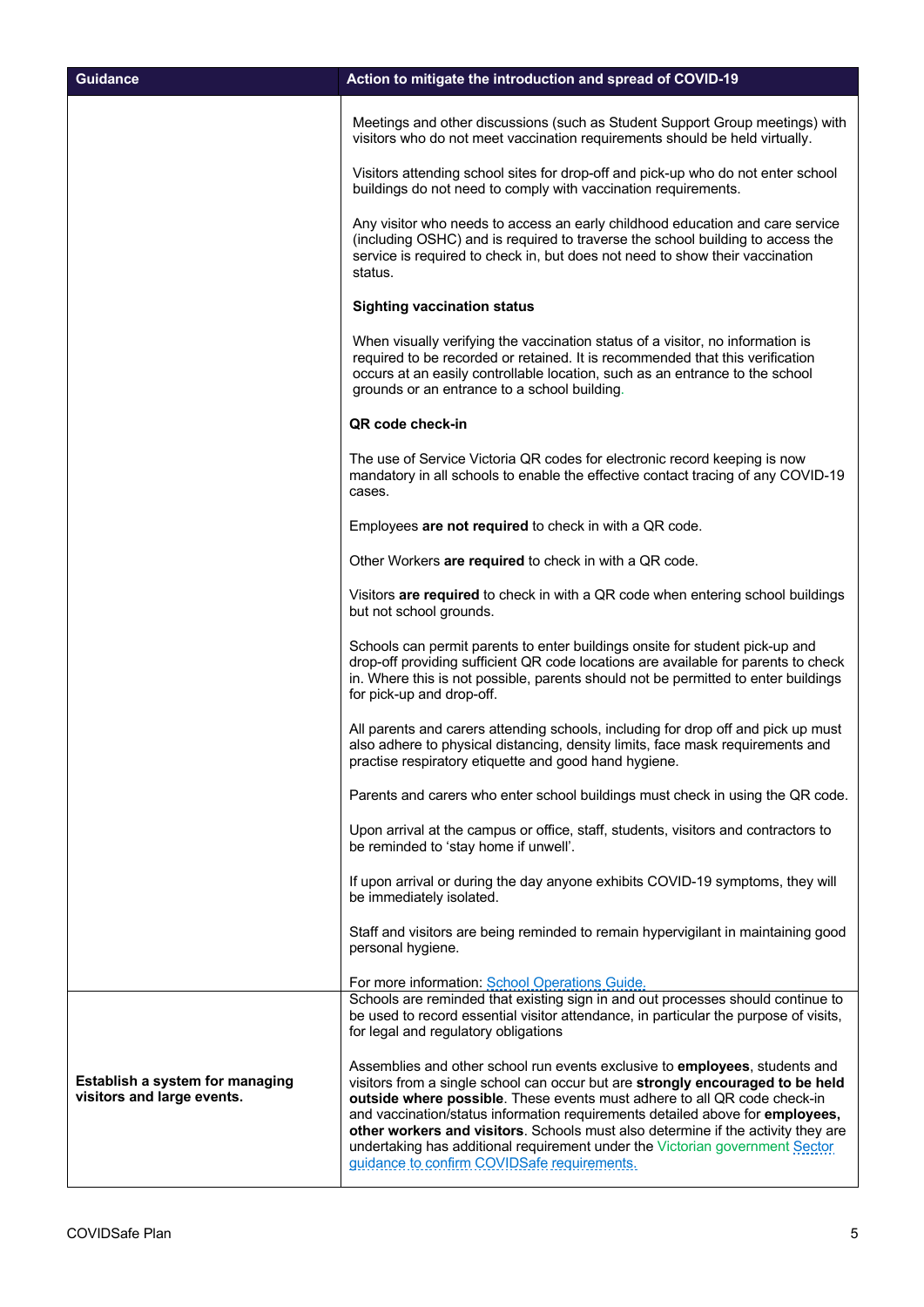| <b>Guidance</b>                                               | Action to mitigate the introduction and spread of COVID-19                                                                                                                                                                                                                                                                                                                                                                                                                                                                                    |
|---------------------------------------------------------------|-----------------------------------------------------------------------------------------------------------------------------------------------------------------------------------------------------------------------------------------------------------------------------------------------------------------------------------------------------------------------------------------------------------------------------------------------------------------------------------------------------------------------------------------------|
|                                                               | Meetings and other discussions (such as Student Support Group meetings) with<br>visitors who do not meet vaccination requirements should be held virtually.                                                                                                                                                                                                                                                                                                                                                                                   |
|                                                               | Visitors attending school sites for drop-off and pick-up who do not enter school<br>buildings do not need to comply with vaccination requirements.                                                                                                                                                                                                                                                                                                                                                                                            |
|                                                               | Any visitor who needs to access an early childhood education and care service<br>(including OSHC) and is required to traverse the school building to access the<br>service is required to check in, but does not need to show their vaccination<br>status.                                                                                                                                                                                                                                                                                    |
|                                                               | <b>Sighting vaccination status</b>                                                                                                                                                                                                                                                                                                                                                                                                                                                                                                            |
|                                                               | When visually verifying the vaccination status of a visitor, no information is<br>required to be recorded or retained. It is recommended that this verification<br>occurs at an easily controllable location, such as an entrance to the school<br>grounds or an entrance to a school building.                                                                                                                                                                                                                                               |
|                                                               | QR code check-in                                                                                                                                                                                                                                                                                                                                                                                                                                                                                                                              |
|                                                               | The use of Service Victoria QR codes for electronic record keeping is now<br>mandatory in all schools to enable the effective contact tracing of any COVID-19<br>cases.                                                                                                                                                                                                                                                                                                                                                                       |
|                                                               | Employees are not required to check in with a QR code.                                                                                                                                                                                                                                                                                                                                                                                                                                                                                        |
|                                                               | Other Workers are required to check in with a QR code.                                                                                                                                                                                                                                                                                                                                                                                                                                                                                        |
|                                                               | Visitors are required to check in with a QR code when entering school buildings<br>but not school grounds.                                                                                                                                                                                                                                                                                                                                                                                                                                    |
|                                                               | Schools can permit parents to enter buildings onsite for student pick-up and<br>drop-off providing sufficient QR code locations are available for parents to check<br>in. Where this is not possible, parents should not be permitted to enter buildings<br>for pick-up and drop-off.                                                                                                                                                                                                                                                         |
|                                                               | All parents and carers attending schools, including for drop off and pick up must<br>also adhere to physical distancing, density limits, face mask requirements and<br>practise respiratory etiquette and good hand hygiene.                                                                                                                                                                                                                                                                                                                  |
|                                                               | Parents and carers who enter school buildings must check in using the QR code.                                                                                                                                                                                                                                                                                                                                                                                                                                                                |
|                                                               | Upon arrival at the campus or office, staff, students, visitors and contractors to<br>be reminded to 'stay home if unwell'.                                                                                                                                                                                                                                                                                                                                                                                                                   |
|                                                               | If upon arrival or during the day anyone exhibits COVID-19 symptoms, they will<br>be immediately isolated.                                                                                                                                                                                                                                                                                                                                                                                                                                    |
|                                                               | Staff and visitors are being reminded to remain hypervigilant in maintaining good<br>personal hygiene.                                                                                                                                                                                                                                                                                                                                                                                                                                        |
|                                                               | For more information: School Operations Guide.                                                                                                                                                                                                                                                                                                                                                                                                                                                                                                |
|                                                               | Schools are reminded that existing sign in and out processes should continue to<br>be used to record essential visitor attendance, in particular the purpose of visits,<br>for legal and regulatory obligations                                                                                                                                                                                                                                                                                                                               |
| Establish a system for managing<br>visitors and large events. | Assemblies and other school run events exclusive to employees, students and<br>visitors from a single school can occur but are strongly encouraged to be held<br>outside where possible. These events must adhere to all QR code check-in<br>and vaccination/status information requirements detailed above for employees,<br>other workers and visitors. Schools must also determine if the activity they are<br>undertaking has additional requirement under the Victorian government Sector<br>guidance to confirm COVIDSafe requirements. |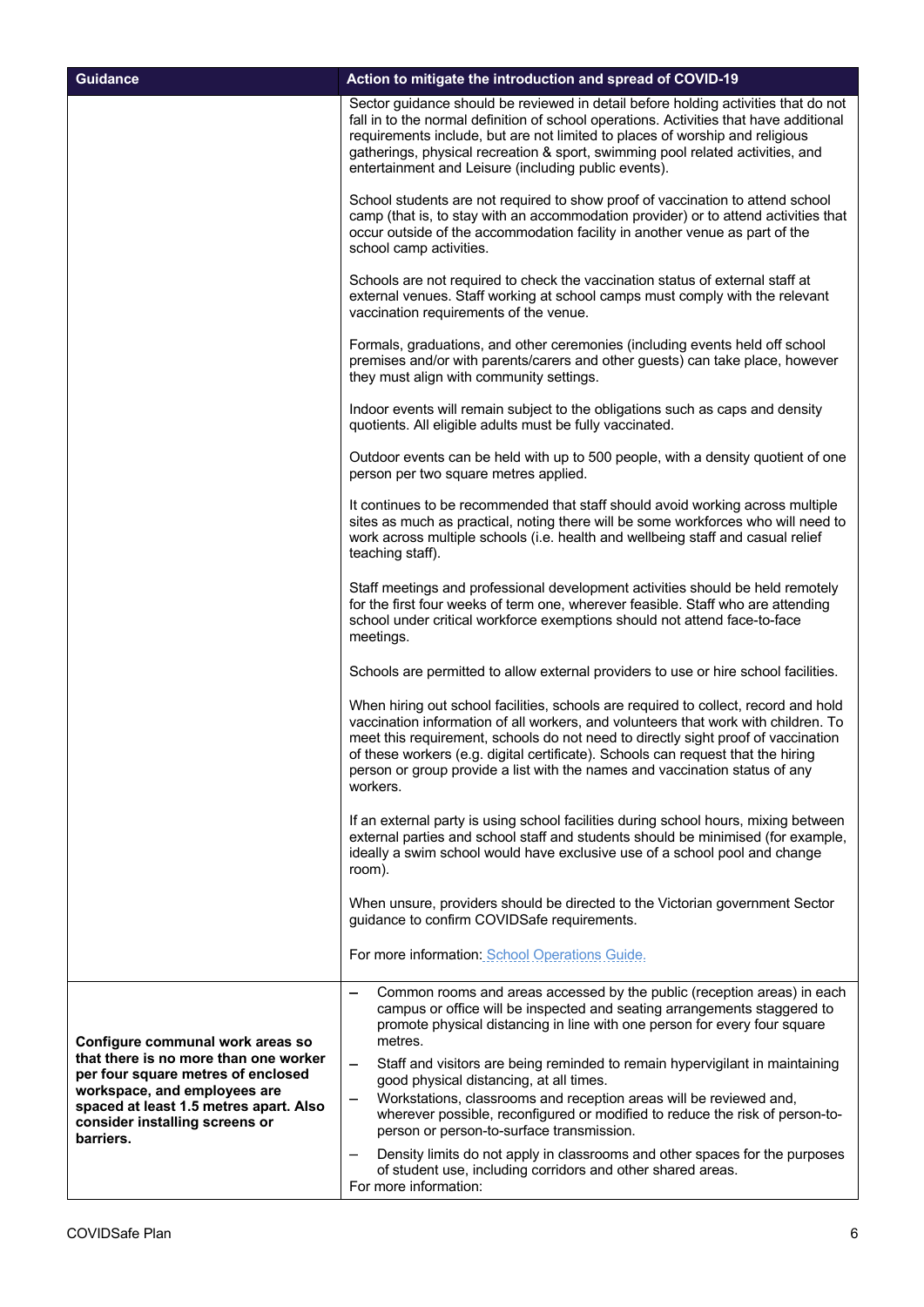| <b>Guidance</b>                                                                                                                                                                                      | Action to mitigate the introduction and spread of COVID-19                                                                                                                                                                                                                                                                                                                                                                                    |
|------------------------------------------------------------------------------------------------------------------------------------------------------------------------------------------------------|-----------------------------------------------------------------------------------------------------------------------------------------------------------------------------------------------------------------------------------------------------------------------------------------------------------------------------------------------------------------------------------------------------------------------------------------------|
|                                                                                                                                                                                                      | Sector guidance should be reviewed in detail before holding activities that do not<br>fall in to the normal definition of school operations. Activities that have additional<br>requirements include, but are not limited to places of worship and religious<br>gatherings, physical recreation & sport, swimming pool related activities, and<br>entertainment and Leisure (including public events).                                        |
|                                                                                                                                                                                                      | School students are not required to show proof of vaccination to attend school<br>camp (that is, to stay with an accommodation provider) or to attend activities that<br>occur outside of the accommodation facility in another venue as part of the<br>school camp activities.                                                                                                                                                               |
|                                                                                                                                                                                                      | Schools are not required to check the vaccination status of external staff at<br>external venues. Staff working at school camps must comply with the relevant<br>vaccination requirements of the venue.                                                                                                                                                                                                                                       |
|                                                                                                                                                                                                      | Formals, graduations, and other ceremonies (including events held off school<br>premises and/or with parents/carers and other guests) can take place, however<br>they must align with community settings.                                                                                                                                                                                                                                     |
|                                                                                                                                                                                                      | Indoor events will remain subject to the obligations such as caps and density<br>quotients. All eligible adults must be fully vaccinated.                                                                                                                                                                                                                                                                                                     |
|                                                                                                                                                                                                      | Outdoor events can be held with up to 500 people, with a density quotient of one<br>person per two square metres applied.                                                                                                                                                                                                                                                                                                                     |
|                                                                                                                                                                                                      | It continues to be recommended that staff should avoid working across multiple<br>sites as much as practical, noting there will be some workforces who will need to<br>work across multiple schools (i.e. health and wellbeing staff and casual relief<br>teaching staff).                                                                                                                                                                    |
|                                                                                                                                                                                                      | Staff meetings and professional development activities should be held remotely<br>for the first four weeks of term one, wherever feasible. Staff who are attending<br>school under critical workforce exemptions should not attend face-to-face<br>meetings.                                                                                                                                                                                  |
|                                                                                                                                                                                                      | Schools are permitted to allow external providers to use or hire school facilities.                                                                                                                                                                                                                                                                                                                                                           |
|                                                                                                                                                                                                      | When hiring out school facilities, schools are required to collect, record and hold<br>vaccination information of all workers, and volunteers that work with children. To<br>meet this requirement, schools do not need to directly sight proof of vaccination<br>of these workers (e.g. digital certificate). Schools can request that the hiring<br>person or group provide a list with the names and vaccination status of any<br>workers. |
|                                                                                                                                                                                                      | If an external party is using school facilities during school hours, mixing between<br>external parties and school staff and students should be minimised (for example,<br>ideally a swim school would have exclusive use of a school pool and change<br>room).                                                                                                                                                                               |
|                                                                                                                                                                                                      | When unsure, providers should be directed to the Victorian government Sector<br>guidance to confirm COVIDSafe requirements.                                                                                                                                                                                                                                                                                                                   |
|                                                                                                                                                                                                      | For more information: School Operations Guide.                                                                                                                                                                                                                                                                                                                                                                                                |
| Configure communal work areas so                                                                                                                                                                     | Common rooms and areas accessed by the public (reception areas) in each<br>campus or office will be inspected and seating arrangements staggered to<br>promote physical distancing in line with one person for every four square<br>metres.                                                                                                                                                                                                   |
| that there is no more than one worker<br>per four square metres of enclosed<br>workspace, and employees are<br>spaced at least 1.5 metres apart. Also<br>consider installing screens or<br>barriers. | Staff and visitors are being reminded to remain hypervigilant in maintaining<br>—<br>good physical distancing, at all times.                                                                                                                                                                                                                                                                                                                  |
|                                                                                                                                                                                                      | Workstations, classrooms and reception areas will be reviewed and,<br>—<br>wherever possible, reconfigured or modified to reduce the risk of person-to-<br>person or person-to-surface transmission.                                                                                                                                                                                                                                          |
|                                                                                                                                                                                                      | Density limits do not apply in classrooms and other spaces for the purposes<br>of student use, including corridors and other shared areas.<br>For more information:                                                                                                                                                                                                                                                                           |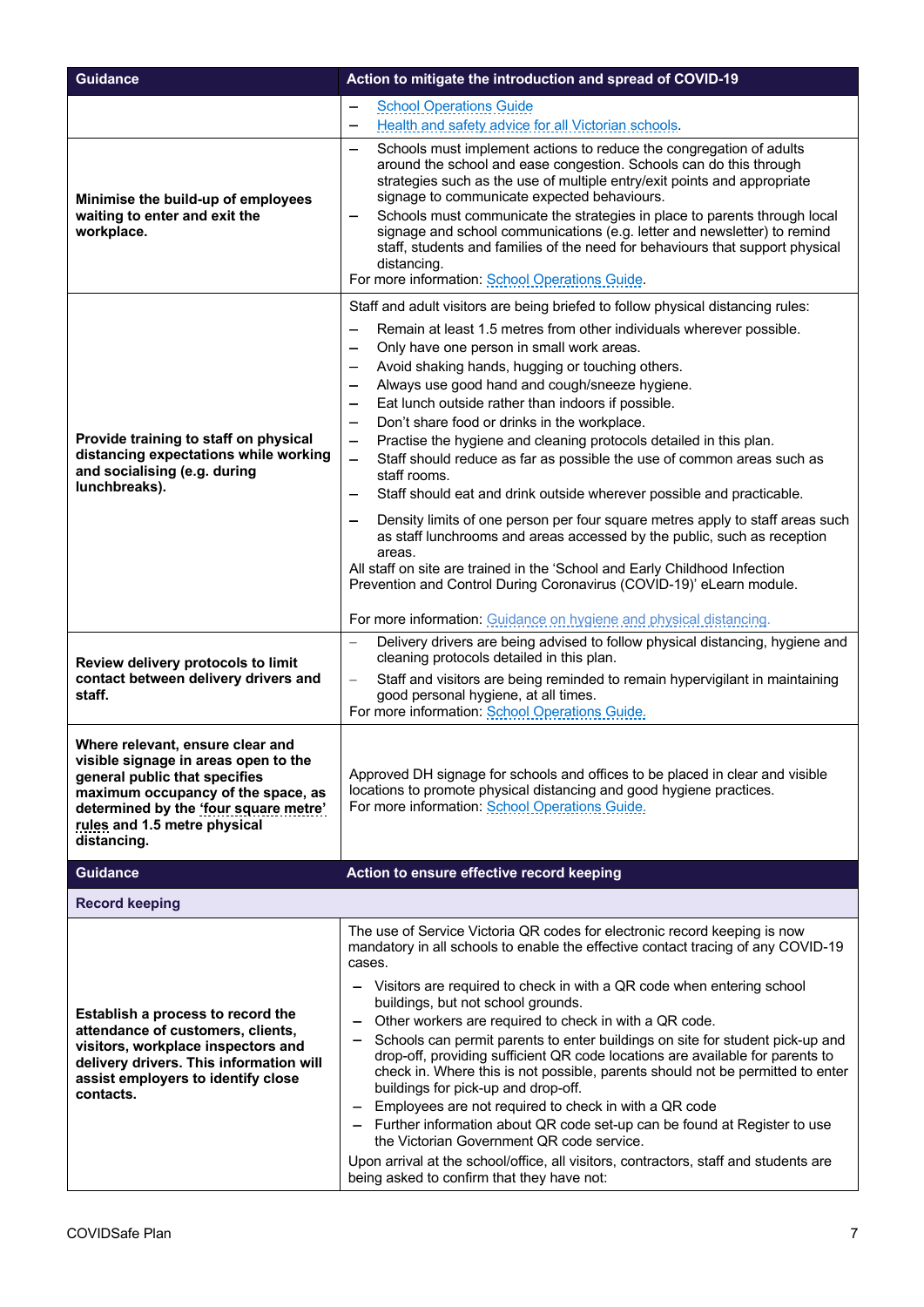| <b>Guidance</b>                                                                                                                                                                                                                         | Action to mitigate the introduction and spread of COVID-19                                                                                                                                                                                                                                                                                                                                                                                                                                                                                                                                                                                                                                                                                                                                                                                                                                                                                                          |
|-----------------------------------------------------------------------------------------------------------------------------------------------------------------------------------------------------------------------------------------|---------------------------------------------------------------------------------------------------------------------------------------------------------------------------------------------------------------------------------------------------------------------------------------------------------------------------------------------------------------------------------------------------------------------------------------------------------------------------------------------------------------------------------------------------------------------------------------------------------------------------------------------------------------------------------------------------------------------------------------------------------------------------------------------------------------------------------------------------------------------------------------------------------------------------------------------------------------------|
|                                                                                                                                                                                                                                         | <b>School Operations Guide</b><br>$\overline{\phantom{0}}$<br>Health and safety advice for all Victorian schools.<br>—                                                                                                                                                                                                                                                                                                                                                                                                                                                                                                                                                                                                                                                                                                                                                                                                                                              |
| Minimise the build-up of employees<br>waiting to enter and exit the<br>workplace.                                                                                                                                                       | Schools must implement actions to reduce the congregation of adults<br>—<br>around the school and ease congestion. Schools can do this through<br>strategies such as the use of multiple entry/exit points and appropriate<br>signage to communicate expected behaviours.<br>Schools must communicate the strategies in place to parents through local<br>signage and school communications (e.g. letter and newsletter) to remind<br>staff, students and families of the need for behaviours that support physical<br>distancing.<br>For more information: School Operations Guide.                                                                                                                                                                                                                                                                                                                                                                                |
|                                                                                                                                                                                                                                         | Staff and adult visitors are being briefed to follow physical distancing rules:<br>Remain at least 1.5 metres from other individuals wherever possible.                                                                                                                                                                                                                                                                                                                                                                                                                                                                                                                                                                                                                                                                                                                                                                                                             |
| Provide training to staff on physical<br>distancing expectations while working<br>and socialising (e.g. during<br>lunchbreaks).                                                                                                         | Only have one person in small work areas.<br>Avoid shaking hands, hugging or touching others.<br>Always use good hand and cough/sneeze hygiene.<br>—<br>Eat lunch outside rather than indoors if possible.<br>Don't share food or drinks in the workplace.<br>-<br>Practise the hygiene and cleaning protocols detailed in this plan.<br>-<br>Staff should reduce as far as possible the use of common areas such as<br>-<br>staff rooms.<br>Staff should eat and drink outside wherever possible and practicable.<br>—<br>Density limits of one person per four square metres apply to staff areas such<br>$\overline{\phantom{0}}$<br>as staff lunchrooms and areas accessed by the public, such as reception<br>areas.<br>All staff on site are trained in the 'School and Early Childhood Infection<br>Prevention and Control During Coronavirus (COVID-19)' eLearn module.                                                                                     |
|                                                                                                                                                                                                                                         | For more information: Guidance on hygiene and physical distancing.                                                                                                                                                                                                                                                                                                                                                                                                                                                                                                                                                                                                                                                                                                                                                                                                                                                                                                  |
| Review delivery protocols to limit<br>contact between delivery drivers and<br>staff.                                                                                                                                                    | Delivery drivers are being advised to follow physical distancing, hygiene and<br>$\overline{\phantom{0}}$<br>cleaning protocols detailed in this plan.<br>Staff and visitors are being reminded to remain hypervigilant in maintaining<br>$\overline{\phantom{0}}$<br>good personal hygiene, at all times.<br>For more information: School Operations Guide.                                                                                                                                                                                                                                                                                                                                                                                                                                                                                                                                                                                                        |
| Where relevant, ensure clear and<br>visible signage in areas open to the<br>general public that specifies<br>maximum occupancy of the space, as<br>determined by the 'four square metre'<br>rules and 1.5 metre physical<br>distancing. | Approved DH signage for schools and offices to be placed in clear and visible<br>locations to promote physical distancing and good hygiene practices.<br>For more information: School Operations Guide.                                                                                                                                                                                                                                                                                                                                                                                                                                                                                                                                                                                                                                                                                                                                                             |
| <b>Guidance</b>                                                                                                                                                                                                                         | Action to ensure effective record keeping                                                                                                                                                                                                                                                                                                                                                                                                                                                                                                                                                                                                                                                                                                                                                                                                                                                                                                                           |
| <b>Record keeping</b>                                                                                                                                                                                                                   |                                                                                                                                                                                                                                                                                                                                                                                                                                                                                                                                                                                                                                                                                                                                                                                                                                                                                                                                                                     |
| Establish a process to record the<br>attendance of customers, clients,<br>visitors, workplace inspectors and<br>delivery drivers. This information will<br>assist employers to identify close<br>contacts.                              | The use of Service Victoria QR codes for electronic record keeping is now<br>mandatory in all schools to enable the effective contact tracing of any COVID-19<br>cases.<br>Visitors are required to check in with a QR code when entering school<br>buildings, but not school grounds.<br>Other workers are required to check in with a QR code.<br>Schools can permit parents to enter buildings on site for student pick-up and<br>drop-off, providing sufficient QR code locations are available for parents to<br>check in. Where this is not possible, parents should not be permitted to enter<br>buildings for pick-up and drop-off.<br>Employees are not required to check in with a QR code<br>Further information about QR code set-up can be found at Register to use<br>the Victorian Government QR code service.<br>Upon arrival at the school/office, all visitors, contractors, staff and students are<br>being asked to confirm that they have not: |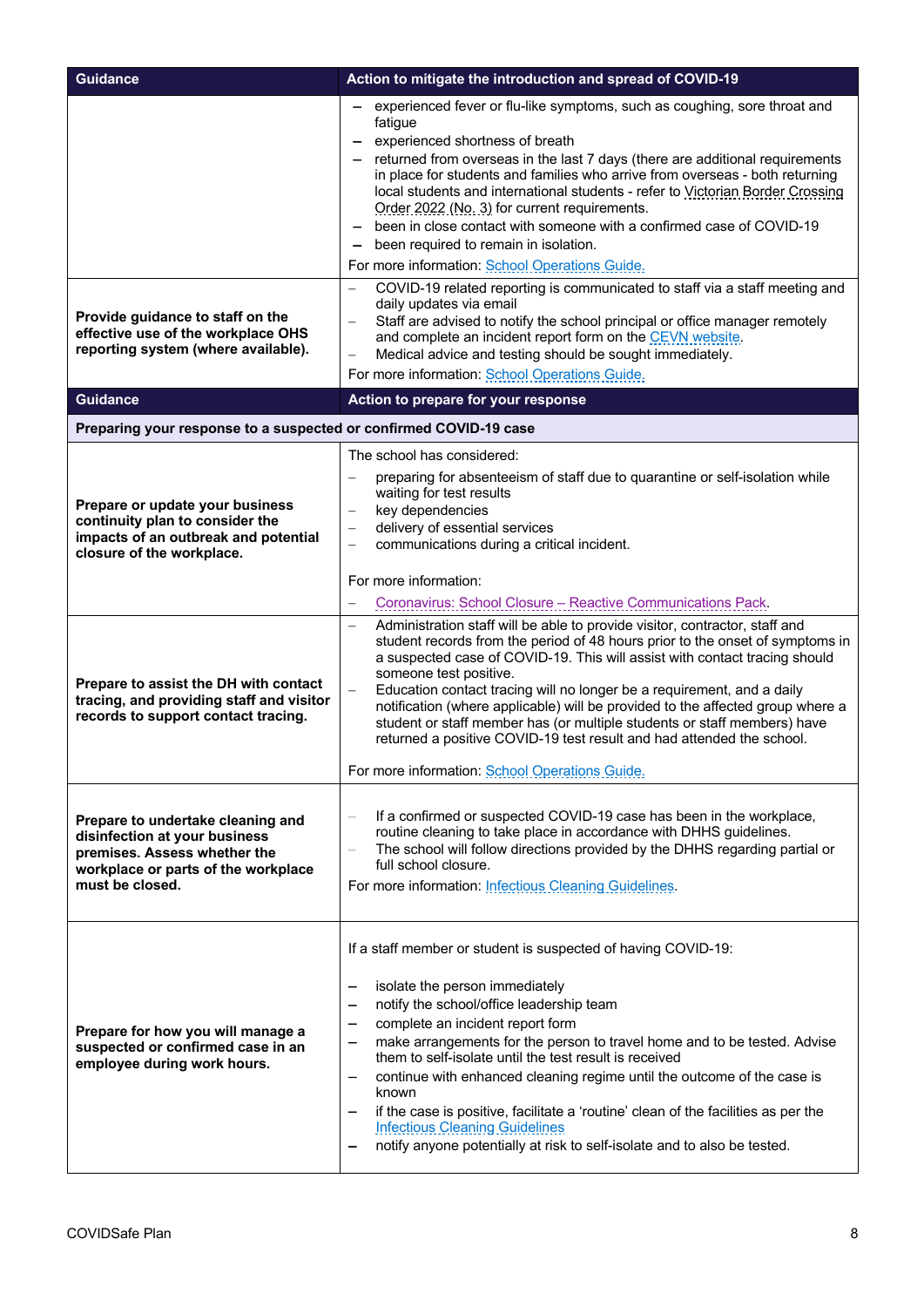| <b>Guidance</b>                                                                                                                                              | Action to mitigate the introduction and spread of COVID-19                                                                                                                                                                                                                                                                                                                                                                                                                                                                                                                                                                                          |
|--------------------------------------------------------------------------------------------------------------------------------------------------------------|-----------------------------------------------------------------------------------------------------------------------------------------------------------------------------------------------------------------------------------------------------------------------------------------------------------------------------------------------------------------------------------------------------------------------------------------------------------------------------------------------------------------------------------------------------------------------------------------------------------------------------------------------------|
|                                                                                                                                                              | experienced fever or flu-like symptoms, such as coughing, sore throat and<br>fatigue<br>experienced shortness of breath<br>returned from overseas in the last 7 days (there are additional requirements<br>in place for students and families who arrive from overseas - both returning<br>local students and international students - refer to Victorian Border Crossing<br>Order 2022 (No. 3) for current requirements.<br>been in close contact with someone with a confirmed case of COVID-19<br>been required to remain in isolation.<br>For more information: School Operations Guide.                                                        |
| Provide guidance to staff on the<br>effective use of the workplace OHS<br>reporting system (where available).<br><b>Guidance</b>                             | COVID-19 related reporting is communicated to staff via a staff meeting and<br>$\overline{\phantom{0}}$<br>daily updates via email<br>Staff are advised to notify the school principal or office manager remotely<br>and complete an incident report form on the CEVN website.<br>Medical advice and testing should be sought immediately.<br>$\overline{\phantom{0}}$<br>For more information: School Operations Guide.<br>Action to prepare for your response                                                                                                                                                                                     |
| Preparing your response to a suspected or confirmed COVID-19 case                                                                                            |                                                                                                                                                                                                                                                                                                                                                                                                                                                                                                                                                                                                                                                     |
| Prepare or update your business<br>continuity plan to consider the<br>impacts of an outbreak and potential<br>closure of the workplace.                      | The school has considered:<br>preparing for absenteeism of staff due to quarantine or self-isolation while<br>waiting for test results<br>key dependencies<br>$\overline{\phantom{0}}$<br>delivery of essential services<br>communications during a critical incident.<br>For more information:<br>Coronavirus: School Closure - Reactive Communications Pack.                                                                                                                                                                                                                                                                                      |
| Prepare to assist the DH with contact<br>tracing, and providing staff and visitor<br>records to support contact tracing.                                     | Administration staff will be able to provide visitor, contractor, staff and<br>$\equiv$<br>student records from the period of 48 hours prior to the onset of symptoms in<br>a suspected case of COVID-19. This will assist with contact tracing should<br>someone test positive.<br>Education contact tracing will no longer be a requirement, and a daily<br>notification (where applicable) will be provided to the affected group where a<br>student or staff member has (or multiple students or staff members) have<br>returned a positive COVID-19 test result and had attended the school.<br>For more information: School Operations Guide. |
| Prepare to undertake cleaning and<br>disinfection at your business<br>premises. Assess whether the<br>workplace or parts of the workplace<br>must be closed. | If a confirmed or suspected COVID-19 case has been in the workplace,<br>routine cleaning to take place in accordance with DHHS guidelines.<br>The school will follow directions provided by the DHHS regarding partial or<br>full school closure.<br>For more information: Infectious Cleaning Guidelines.                                                                                                                                                                                                                                                                                                                                          |
| Prepare for how you will manage a<br>suspected or confirmed case in an<br>employee during work hours.                                                        | If a staff member or student is suspected of having COVID-19:<br>isolate the person immediately<br>notify the school/office leadership team<br>—<br>complete an incident report form<br>—<br>make arrangements for the person to travel home and to be tested. Advise<br>—<br>them to self-isolate until the test result is received<br>continue with enhanced cleaning regime until the outcome of the case is<br>known<br>if the case is positive, facilitate a 'routine' clean of the facilities as per the<br><b>Infectious Cleaning Guidelines</b><br>notify anyone potentially at risk to self-isolate and to also be tested.                 |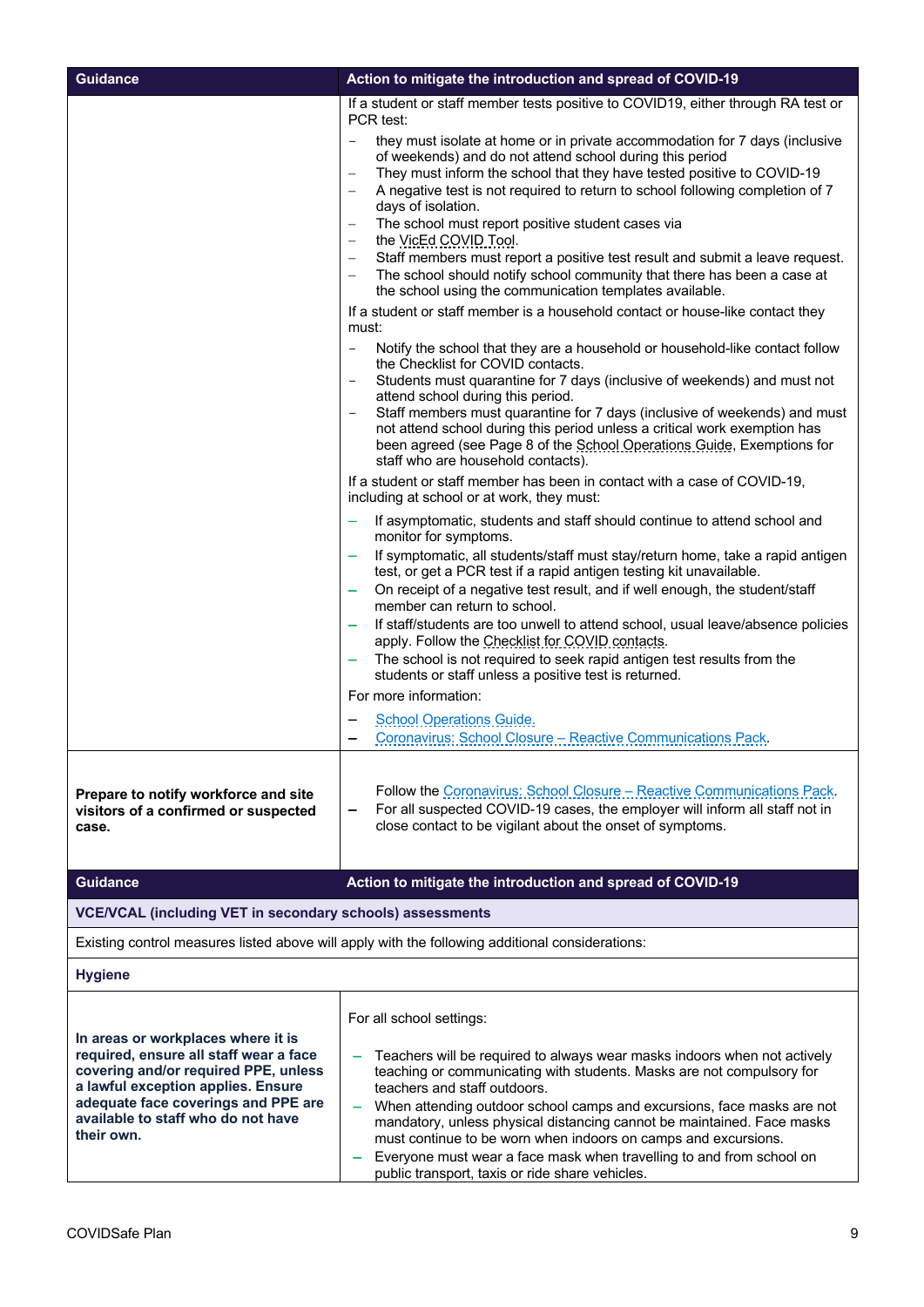| <b>Guidance</b>                                                                                                                                                                                                                                       | Action to mitigate the introduction and spread of COVID-19                                                                                                                                                                                                                                                                                                                                                                                                                                                                                                                                                                                                                                                                                                                                                                                                                                                                                                                                                                                                                                                                                                                                                                                                                                                                                                                                                                                                                                                                                                                                                                                                                                                                                                                                                                                                                                                                                                                                                                                                                                                                                                                 |
|-------------------------------------------------------------------------------------------------------------------------------------------------------------------------------------------------------------------------------------------------------|----------------------------------------------------------------------------------------------------------------------------------------------------------------------------------------------------------------------------------------------------------------------------------------------------------------------------------------------------------------------------------------------------------------------------------------------------------------------------------------------------------------------------------------------------------------------------------------------------------------------------------------------------------------------------------------------------------------------------------------------------------------------------------------------------------------------------------------------------------------------------------------------------------------------------------------------------------------------------------------------------------------------------------------------------------------------------------------------------------------------------------------------------------------------------------------------------------------------------------------------------------------------------------------------------------------------------------------------------------------------------------------------------------------------------------------------------------------------------------------------------------------------------------------------------------------------------------------------------------------------------------------------------------------------------------------------------------------------------------------------------------------------------------------------------------------------------------------------------------------------------------------------------------------------------------------------------------------------------------------------------------------------------------------------------------------------------------------------------------------------------------------------------------------------------|
|                                                                                                                                                                                                                                                       | If a student or staff member tests positive to COVID19, either through RA test or<br>PCR test:<br>they must isolate at home or in private accommodation for 7 days (inclusive<br>of weekends) and do not attend school during this period<br>They must inform the school that they have tested positive to COVID-19<br>$\qquad \qquad -$<br>A negative test is not required to return to school following completion of 7<br>days of isolation.<br>The school must report positive student cases via<br>$\overline{\phantom{0}}$<br>the VicEd COVID Tool.<br>$\overline{\phantom{m}}$<br>Staff members must report a positive test result and submit a leave request.<br>The school should notify school community that there has been a case at<br>the school using the communication templates available.<br>If a student or staff member is a household contact or house-like contact they<br>must:<br>Notify the school that they are a household or household-like contact follow<br>$\overline{\phantom{0}}$<br>the Checklist for COVID contacts.<br>Students must quarantine for 7 days (inclusive of weekends) and must not<br>attend school during this period.<br>Staff members must quarantine for 7 days (inclusive of weekends) and must<br>not attend school during this period unless a critical work exemption has<br>been agreed (see Page 8 of the School Operations Guide, Exemptions for<br>staff who are household contacts).<br>If a student or staff member has been in contact with a case of COVID-19,<br>including at school or at work, they must:<br>If asymptomatic, students and staff should continue to attend school and<br>monitor for symptoms.<br>If symptomatic, all students/staff must stay/return home, take a rapid antigen<br>test, or get a PCR test if a rapid antigen testing kit unavailable.<br>On receipt of a negative test result, and if well enough, the student/staff<br>member can return to school.<br>If staff/students are too unwell to attend school, usual leave/absence policies<br>apply. Follow the Checklist for COVID contacts.<br>The school is not required to seek rapid antigen test results from the |
|                                                                                                                                                                                                                                                       |                                                                                                                                                                                                                                                                                                                                                                                                                                                                                                                                                                                                                                                                                                                                                                                                                                                                                                                                                                                                                                                                                                                                                                                                                                                                                                                                                                                                                                                                                                                                                                                                                                                                                                                                                                                                                                                                                                                                                                                                                                                                                                                                                                            |
|                                                                                                                                                                                                                                                       | students or staff unless a positive test is returned.<br>For more information:                                                                                                                                                                                                                                                                                                                                                                                                                                                                                                                                                                                                                                                                                                                                                                                                                                                                                                                                                                                                                                                                                                                                                                                                                                                                                                                                                                                                                                                                                                                                                                                                                                                                                                                                                                                                                                                                                                                                                                                                                                                                                             |
|                                                                                                                                                                                                                                                       | <b>School Operations Guide.</b><br>Coronavirus: School Closure - Reactive Communications Pack.                                                                                                                                                                                                                                                                                                                                                                                                                                                                                                                                                                                                                                                                                                                                                                                                                                                                                                                                                                                                                                                                                                                                                                                                                                                                                                                                                                                                                                                                                                                                                                                                                                                                                                                                                                                                                                                                                                                                                                                                                                                                             |
| Prepare to notify workforce and site<br>visitors of a confirmed or suspected<br>case.                                                                                                                                                                 | Follow the Coronavirus: School Closure - Reactive Communications Pack.<br>For all suspected COVID-19 cases, the employer will inform all staff not in<br>close contact to be vigilant about the onset of symptoms.                                                                                                                                                                                                                                                                                                                                                                                                                                                                                                                                                                                                                                                                                                                                                                                                                                                                                                                                                                                                                                                                                                                                                                                                                                                                                                                                                                                                                                                                                                                                                                                                                                                                                                                                                                                                                                                                                                                                                         |
| <b>Guidance</b>                                                                                                                                                                                                                                       | Action to mitigate the introduction and spread of COVID-19                                                                                                                                                                                                                                                                                                                                                                                                                                                                                                                                                                                                                                                                                                                                                                                                                                                                                                                                                                                                                                                                                                                                                                                                                                                                                                                                                                                                                                                                                                                                                                                                                                                                                                                                                                                                                                                                                                                                                                                                                                                                                                                 |
| <b>VCE/VCAL (including VET in secondary schools) assessments</b>                                                                                                                                                                                      |                                                                                                                                                                                                                                                                                                                                                                                                                                                                                                                                                                                                                                                                                                                                                                                                                                                                                                                                                                                                                                                                                                                                                                                                                                                                                                                                                                                                                                                                                                                                                                                                                                                                                                                                                                                                                                                                                                                                                                                                                                                                                                                                                                            |
|                                                                                                                                                                                                                                                       | Existing control measures listed above will apply with the following additional considerations:                                                                                                                                                                                                                                                                                                                                                                                                                                                                                                                                                                                                                                                                                                                                                                                                                                                                                                                                                                                                                                                                                                                                                                                                                                                                                                                                                                                                                                                                                                                                                                                                                                                                                                                                                                                                                                                                                                                                                                                                                                                                            |
| <b>Hygiene</b>                                                                                                                                                                                                                                        |                                                                                                                                                                                                                                                                                                                                                                                                                                                                                                                                                                                                                                                                                                                                                                                                                                                                                                                                                                                                                                                                                                                                                                                                                                                                                                                                                                                                                                                                                                                                                                                                                                                                                                                                                                                                                                                                                                                                                                                                                                                                                                                                                                            |
| In areas or workplaces where it is<br>required, ensure all staff wear a face<br>covering and/or required PPE, unless<br>a lawful exception applies. Ensure<br>adequate face coverings and PPE are<br>available to staff who do not have<br>their own. | For all school settings:<br>Teachers will be required to always wear masks indoors when not actively<br>teaching or communicating with students. Masks are not compulsory for<br>teachers and staff outdoors.<br>When attending outdoor school camps and excursions, face masks are not<br>mandatory, unless physical distancing cannot be maintained. Face masks<br>must continue to be worn when indoors on camps and excursions.<br>Everyone must wear a face mask when travelling to and from school on<br>public transport, taxis or ride share vehicles.                                                                                                                                                                                                                                                                                                                                                                                                                                                                                                                                                                                                                                                                                                                                                                                                                                                                                                                                                                                                                                                                                                                                                                                                                                                                                                                                                                                                                                                                                                                                                                                                             |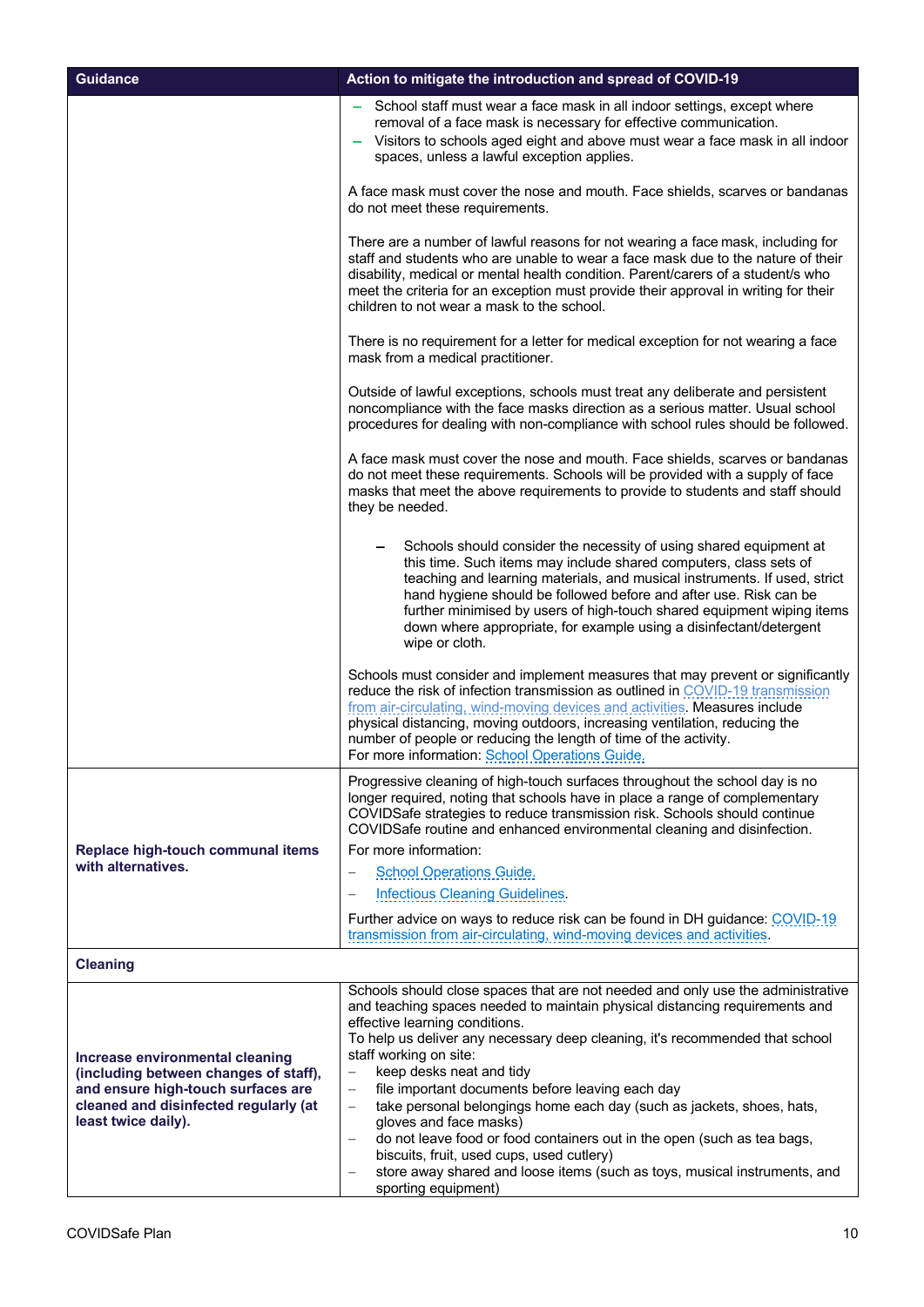| <b>Guidance</b>                                                                                    | Action to mitigate the introduction and spread of COVID-19                                                                                                                                                                                                                                                                                                                                                                                                  |
|----------------------------------------------------------------------------------------------------|-------------------------------------------------------------------------------------------------------------------------------------------------------------------------------------------------------------------------------------------------------------------------------------------------------------------------------------------------------------------------------------------------------------------------------------------------------------|
|                                                                                                    | School staff must wear a face mask in all indoor settings, except where<br>removal of a face mask is necessary for effective communication.<br>Visitors to schools aged eight and above must wear a face mask in all indoor<br>$\overline{\phantom{m}}$<br>spaces, unless a lawful exception applies.                                                                                                                                                       |
|                                                                                                    | A face mask must cover the nose and mouth. Face shields, scarves or bandanas<br>do not meet these requirements.                                                                                                                                                                                                                                                                                                                                             |
|                                                                                                    | There are a number of lawful reasons for not wearing a face mask, including for<br>staff and students who are unable to wear a face mask due to the nature of their<br>disability, medical or mental health condition. Parent/carers of a student/s who<br>meet the criteria for an exception must provide their approval in writing for their<br>children to not wear a mask to the school.                                                                |
|                                                                                                    | There is no requirement for a letter for medical exception for not wearing a face<br>mask from a medical practitioner.                                                                                                                                                                                                                                                                                                                                      |
|                                                                                                    | Outside of lawful exceptions, schools must treat any deliberate and persistent<br>noncompliance with the face masks direction as a serious matter. Usual school<br>procedures for dealing with non-compliance with school rules should be followed.                                                                                                                                                                                                         |
|                                                                                                    | A face mask must cover the nose and mouth. Face shields, scarves or bandanas<br>do not meet these requirements. Schools will be provided with a supply of face<br>masks that meet the above requirements to provide to students and staff should<br>they be needed.                                                                                                                                                                                         |
|                                                                                                    | Schools should consider the necessity of using shared equipment at<br>this time. Such items may include shared computers, class sets of<br>teaching and learning materials, and musical instruments. If used, strict<br>hand hygiene should be followed before and after use. Risk can be<br>further minimised by users of high-touch shared equipment wiping items<br>down where appropriate, for example using a disinfectant/detergent<br>wipe or cloth. |
|                                                                                                    | Schools must consider and implement measures that may prevent or significantly<br>reduce the risk of infection transmission as outlined in COVID-19 transmission<br>from air-circulating, wind-moving devices and activities. Measures include<br>physical distancing, moving outdoors, increasing ventilation, reducing the<br>number of people or reducing the length of time of the activity.<br>For more information: School Operations Guide.          |
|                                                                                                    | Progressive cleaning of high-touch surfaces throughout the school day is no<br>longer required, noting that schools have in place a range of complementary<br>COVIDSafe strategies to reduce transmission risk. Schools should continue<br>COVIDSafe routine and enhanced environmental cleaning and disinfection.                                                                                                                                          |
| Replace high-touch communal items                                                                  | For more information:                                                                                                                                                                                                                                                                                                                                                                                                                                       |
| with alternatives.                                                                                 | <b>School Operations Guide.</b>                                                                                                                                                                                                                                                                                                                                                                                                                             |
|                                                                                                    | <b>Infectious Cleaning Guidelines.</b>                                                                                                                                                                                                                                                                                                                                                                                                                      |
|                                                                                                    | Further advice on ways to reduce risk can be found in DH guidance: COVID-19<br>transmission from air-circulating, wind-moving devices and activities.                                                                                                                                                                                                                                                                                                       |
| <b>Cleaning</b>                                                                                    |                                                                                                                                                                                                                                                                                                                                                                                                                                                             |
| Increase environmental cleaning<br>(including between changes of staff),                           | Schools should close spaces that are not needed and only use the administrative<br>and teaching spaces needed to maintain physical distancing requirements and<br>effective learning conditions.<br>To help us deliver any necessary deep cleaning, it's recommended that school<br>staff working on site:<br>keep desks neat and tidy<br>$\overline{\phantom{m}}$                                                                                          |
| and ensure high-touch surfaces are<br>cleaned and disinfected regularly (at<br>least twice daily). | file important documents before leaving each day<br>$\overline{\phantom{m}}$<br>take personal belongings home each day (such as jackets, shoes, hats,<br>$\overline{\phantom{m}}$<br>gloves and face masks)<br>do not leave food or food containers out in the open (such as tea bags,<br>biscuits, fruit, used cups, used cutlery)<br>store away shared and loose items (such as toys, musical instruments, and                                            |

sporting equipment)